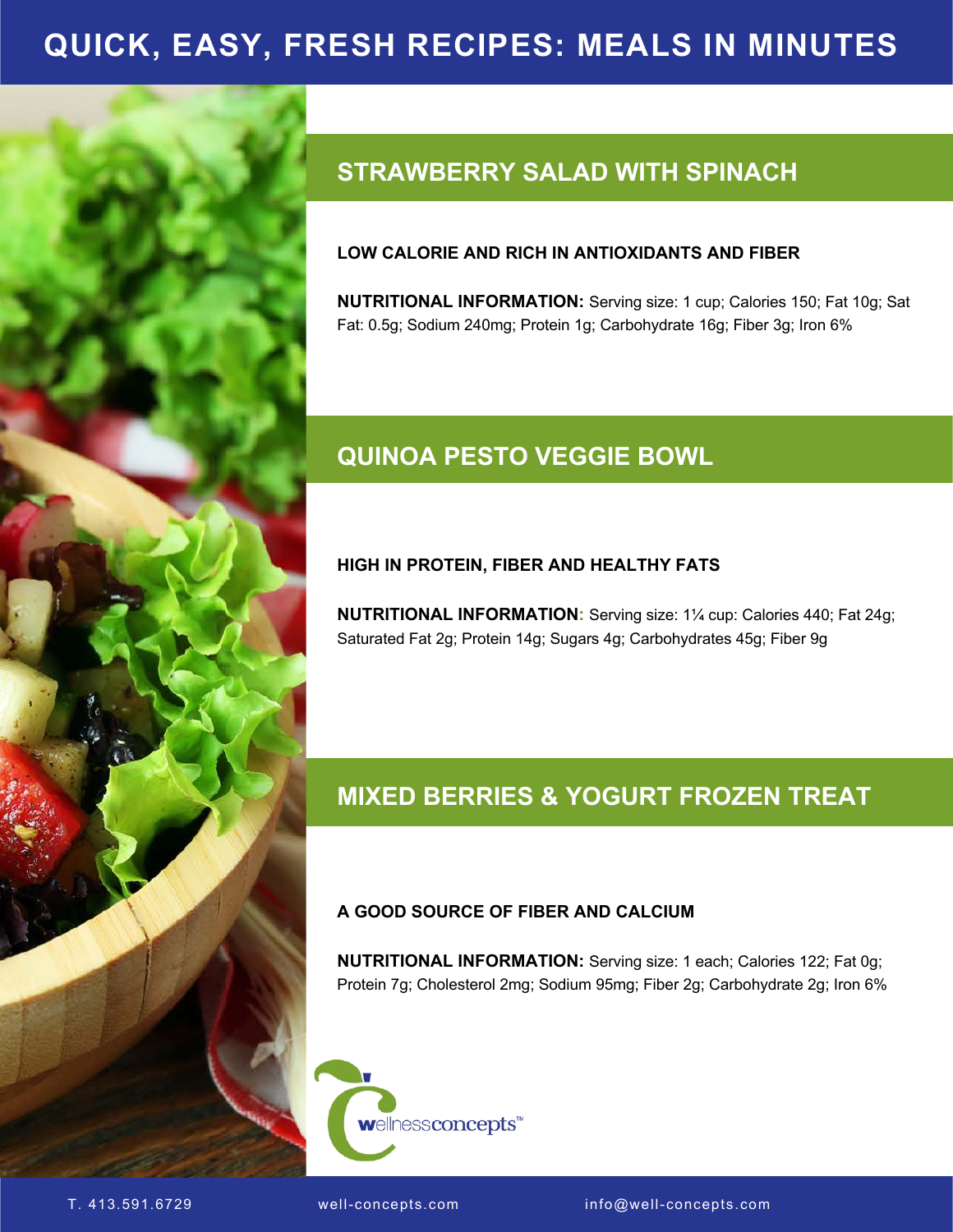# **HEALTHY CHOCOLATE RECIPES QUICK, EASY, FRESH RECIPES: MEALS IN MINUTES**



# **STRAWBERRY SALAD WITH SPINACH**

## **LOW CALORIE AND RICH IN ANTIOXIDANTS AND FIBER**

**NUTRITIONAL INFORMATION:** Serving size: 1 cup; Calories 150; Fat 10g; Sat Fat: 0.5g; Sodium 240mg; Protein 1g; Carbohydrate 16g; Fiber 3g; Iron 6%

## **QUINOA PESTO VEGGIE BOWL**

## **HIGH IN PROTEIN, FIBER AND HEALTHY FATS**

**NUTRITIONAL INFORMATION:** Serving size: 1¼ cup: Calories 440; Fat 24g; Saturated Fat 2g; Protein 14g; Sugars 4g; Carbohydrates 45g; Fiber 9g

## **MIXED BERRIES & YOGURT FROZEN TREAT**

## **A GOOD SOURCE OF FIBER AND CALCIUM**

**NUTRITIONAL INFORMATION:** Serving size: 1 each; Calories 122; Fat 0g; Protein 7g; Cholesterol 2mg; Sodium 95mg; Fiber 2g; Carbohydrate 2g; Iron 6%

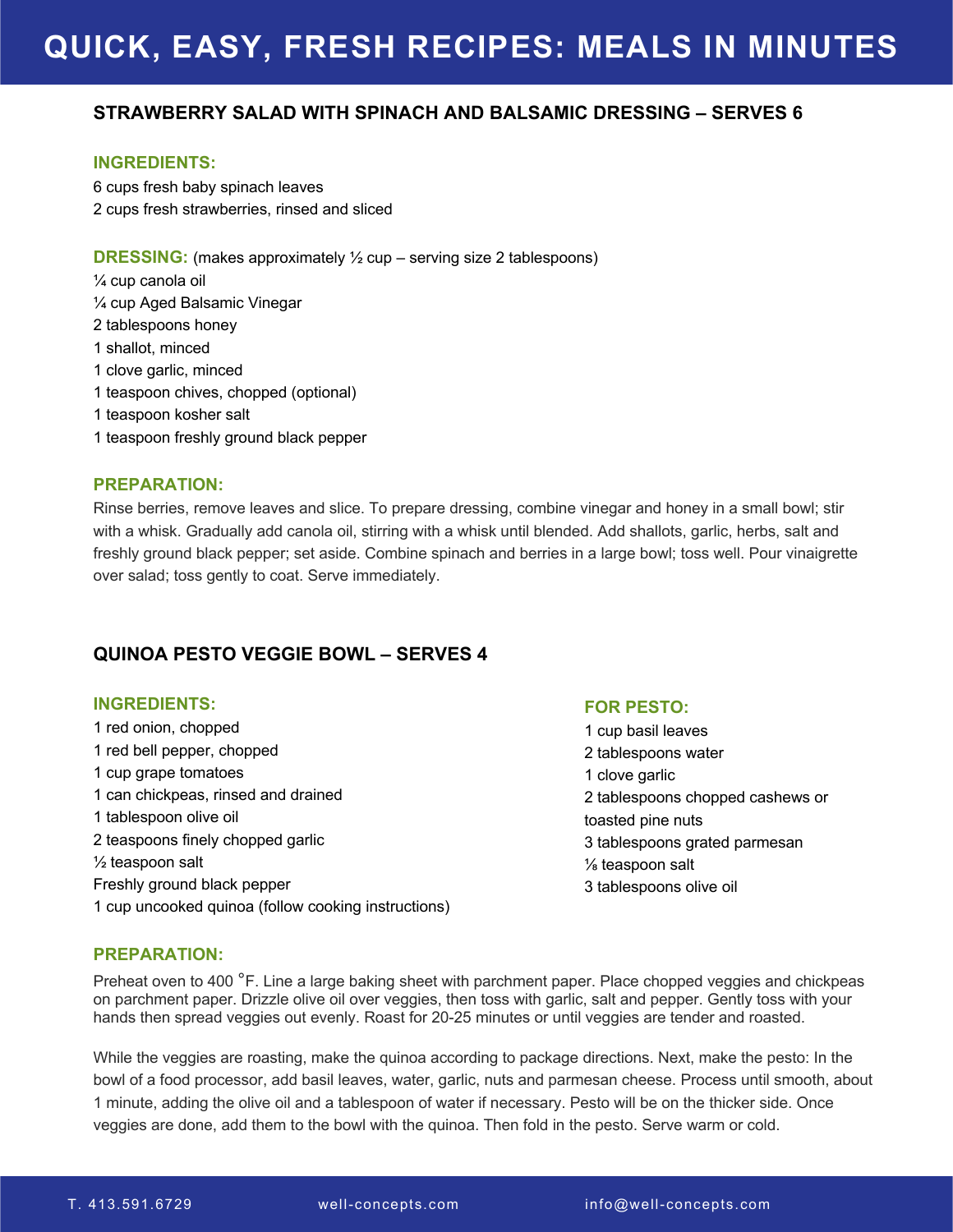# **HEALTHY CHOCOLATE RECIPES QUICK, EASY, FRESH RECIPES: MEALS IN MINUTES**

## **STRAWBERRY SALAD WITH SPINACH AND BALSAMIC DRESSING – SERVES 6**

#### **INGREDIENTS:**

6 cups fresh baby spinach leaves 2 cups fresh strawberries, rinsed and sliced

**DRESSING:** (makes approximately ½ cup – serving size 2 tablespoons) ¼ cup canola oil ¼ cup Aged Balsamic Vinegar 2 tablespoons honey 1 shallot, minced 1 clove garlic, minced 1 teaspoon chives, chopped (optional) 1 teaspoon kosher salt

1 teaspoon freshly ground black pepper

#### **PREPARATION:**

Rinse berries, remove leaves and slice. To prepare dressing, combine vinegar and honey in a small bowl; stir with a whisk. Gradually add canola oil, stirring with a whisk until blended. Add shallots, garlic, herbs, salt and freshly ground black pepper; set aside. Combine spinach and berries in a large bowl; toss well. Pour vinaigrette over salad; toss gently to coat. Serve immediately.

## **QUINOA PESTO VEGGIE BOWL – SERVES 4**

#### **INGREDIENTS:**

1 red onion, chopped 1 red bell pepper, chopped 1 cup grape tomatoes 1 can chickpeas, rinsed and drained 1 tablespoon olive oil 2 teaspoons finely chopped garlic ½ teaspoon salt Freshly ground black pepper 1 cup uncooked quinoa (follow cooking instructions)

#### **FOR PESTO:**

1 cup basil leaves 2 tablespoons water 1 clove garlic 2 tablespoons chopped cashews or toasted pine nuts 3 tablespoons grated parmesan ⅛ teaspoon salt 3 tablespoons olive oil

## **PREPARATION:**

Preheat oven to 400 °F. Line a large baking sheet with parchment paper. Place chopped veggies and chickpeas on parchment paper. Drizzle olive oil over veggies, then toss with garlic, salt and pepper. Gently toss with your hands then spread veggies out evenly. Roast for 20-25 minutes or until veggies are tender and roasted.

While the veggies are roasting, make the quinoa according to package directions. Next, make the pesto: In the bowl of a food processor, add basil leaves, water, garlic, nuts and parmesan cheese. Process until smooth, about 1 minute, adding the olive oil and a tablespoon of water if necessary. Pesto will be on the thicker side. Once veggies are done, add them to the bowl with the quinoa. Then fold in the pesto. Serve warm or cold.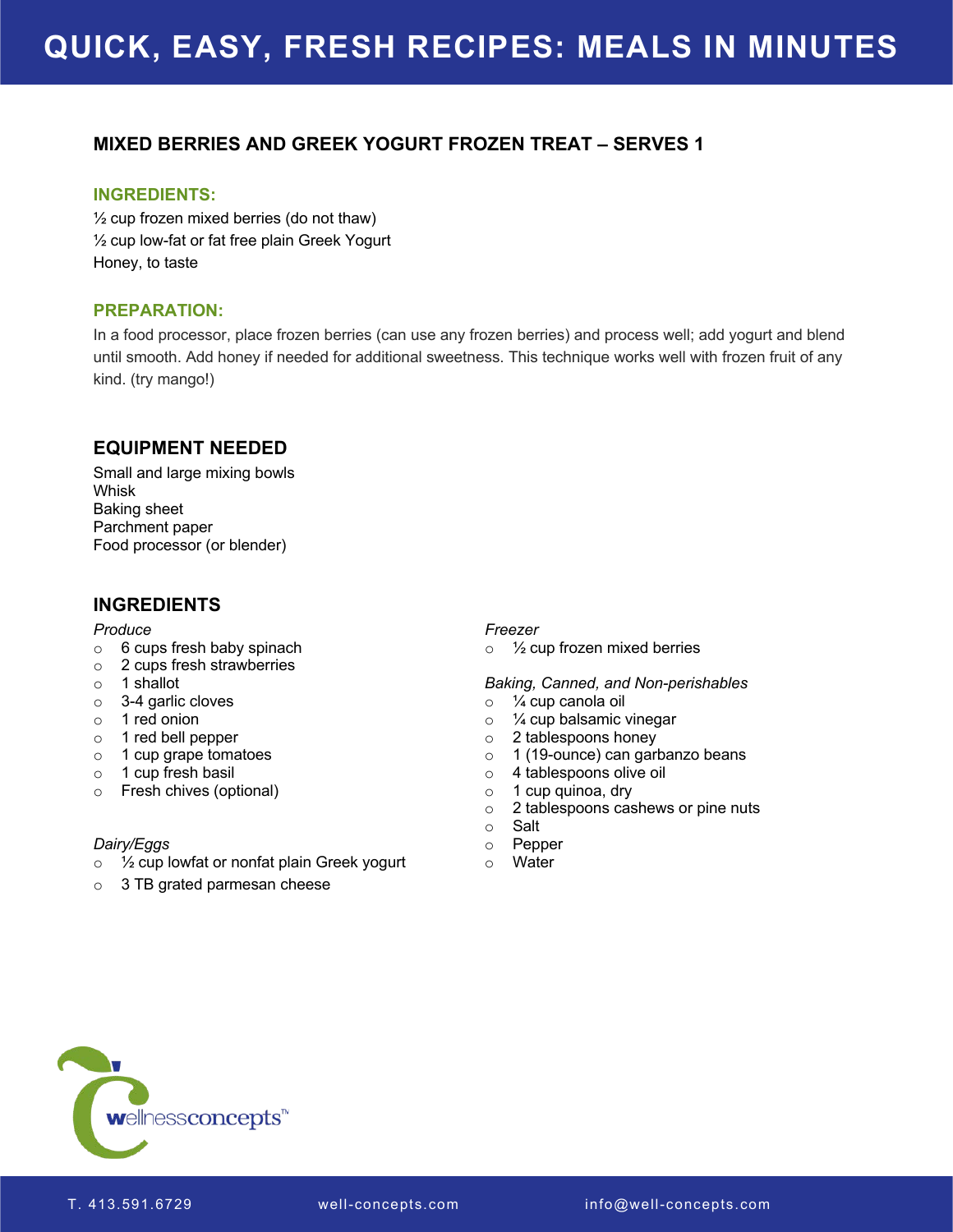## **MIXED BERRIES AND GREEK YOGURT FROZEN TREAT – SERVES 1**

### **INGREDIENTS:**

 $\frac{1}{2}$  cup frozen mixed berries (do not thaw) ½ cup low-fat or fat free plain Greek Yogurt Honey, to taste

## **PREPARATION:**

In a food processor, place frozen berries (can use any frozen berries) and process well; add yogurt and blend until smooth. Add honey if needed for additional sweetness. This technique works well with frozen fruit of any kind. (try mango!)

## **EQUIPMENT NEEDED**

Small and large mixing bowls Whisk Baking sheet Parchment paper Food processor (or blender)

## **INGREDIENTS**

#### *Produce*

- o 6 cups fresh baby spinach
- o 2 cups fresh strawberries
- o 1 shallot
- o 3-4 garlic cloves
- o 1 red onion
- o 1 red bell pepper
- o 1 cup grape tomatoes
- o 1 cup fresh basil
- o Fresh chives (optional)

## *Dairy/Eggs*

- o ½ cup lowfat or nonfat plain Greek yogurt
- o 3 TB grated parmesan cheese

#### *Freezer*

o ½ cup frozen mixed berries

#### *Baking, Canned, and Non-perishables*

- o ¼ cup canola oil
- o 1/4 cup balsamic vinegar
- o 2 tablespoons honey
- o 1 (19-ounce) can garbanzo beans
- o 4 tablespoons olive oil
- $\circ$  1 cup quinoa, dry
- o 2 tablespoons cashews or pine nuts
- o Salt
- o Pepper
- o Water